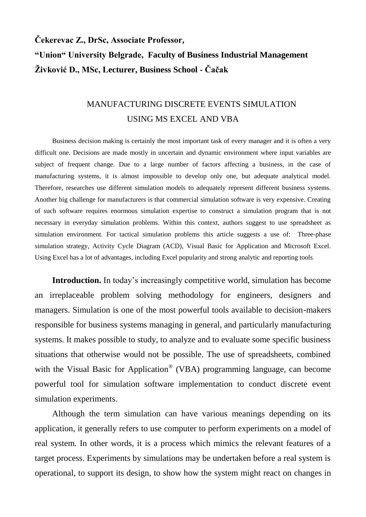## **Čekerevac Z., DrSc, Associate Professor, "Union" University Belgrade, Faculty of Business Industrial Management Živković D., MSc, Lecturer, Business School - Čačak**

## MANUFACTURING DISCRETE EVENTS SIMULATION USING MS EXCEL AND VBA

Business decision making is certainly the most important task of every manager and it is often a very difficult one. Decisions are made mostly in uncertain and dynamic environment where input variables are subject of frequent change. Due to a large number of factors affecting a business, in the case of manufacturing systems, it is almost impossible to develop only one, but adequate analytical model. Therefore, researches use different simulation models to adequately represent different business systems. Another big challenge for manufacturers is that commercial simulation software is very expensive. Creating of such software requires enormous simulation expertise to construct a simulation program that is not necessary in everyday simulation problems. Within this context, authors suggest to use spreadsheet as simulation environment. For tactical simulation problems this article suggests a use of: Three-phase simulation strategy, Activity Cycle Diagram (ACD), Visual Basic for Application and Microsoft Excel. Using Excel has a lot of advantages, including Excel popularity and strong analytic and reporting tools*.* 

**Introduction.** In today's increasingly competitive world, simulation has become an irreplaceable problem solving methodology for engineers, designers and managers. Simulation is one of the most powerful tools available to decision-makers responsible for business systems managing in general, and particularly manufacturing systems. It makes possible to study, to analyze and to evaluate some specific business situations that otherwise would not be possible. The use of spreadsheets, combined with the Visual Basic for Application<sup>®</sup> (VBA) programming language, can become powerful tool for simulation software implementation to conduct discrete event simulation experiments.

Although the term simulation can have various meanings depending on its application, it generally refers to use computer to perform experiments on a model of real system. In other words, it is a process which mimics the relevant features of a target process. Experiments by simulations may be undertaken before a real system is operational, to support its design, to show how the system might react on changes in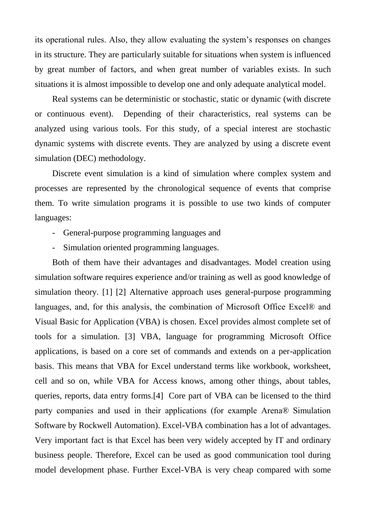its operational rules. Also, they allow evaluating the system's responses on changes in its structure. They are particularly suitable for situations when system is influenced by great number of factors, and when great number of variables exists. In such situations it is almost impossible to develop one and only adequate analytical model.

Real systems can be deterministic or stochastic, static or dynamic (with discrete or continuous event). Depending of their characteristics, real systems can be analyzed using various tools. For this study, of a special interest are stochastic dynamic systems with discrete events. They are analyzed by using a discrete event simulation (DEC) methodology.

Discrete event simulation is a kind of simulation where complex system and processes are represented by the chronological sequence of events that comprise them. To write simulation programs it is possible to use two kinds of computer languages:

- General-purpose programming languages and
- Simulation oriented programming languages.

Both of them have their advantages and disadvantages. Model creation using simulation software requires experience and/or training as well as good knowledge of simulation theory. [1] [2] Alternative approach uses general-purpose programming languages, and, for this analysis, the combination of Microsoft Office Excel® and Visual Basic for Application (VBA) is chosen. Excel provides almost complete set of tools for a simulation. [3] VBA, language for programming Microsoft Office applications, is based on a core set of commands and extends on a per-application basis. This means that VBA for Excel understand terms like workbook, worksheet, cell and so on, while VBA for Access knows, among other things, about tables, queries, reports, data entry forms.[4] Core part of VBA can be licensed to the third party companies and used in their applications (for example Arena® Simulation Software by Rockwell Automation). Excel-VBA combination has a lot of advantages. Very important fact is that Excel has been very widely accepted by IT and ordinary business people. Therefore, Excel can be used as good communication tool during model development phase. Further Excel-VBA is very cheap compared with some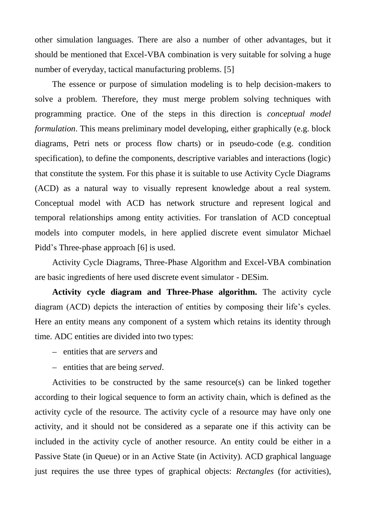other simulation languages. There are also a number of other advantages, but it should be mentioned that Excel-VBA combination is very suitable for solving a huge number of everyday, tactical manufacturing problems. [5]

The essence or purpose of simulation modeling is to help decision-makers to solve a problem. Therefore, they must merge problem solving techniques with programming practice. One of the steps in this direction is *conceptual model formulation*. This means preliminary model developing, either graphically (e.g. block diagrams, Petri nets or process flow charts) or in pseudo-code (e.g. condition specification), to define the components, descriptive variables and interactions (logic) that constitute the system. For this phase it is suitable to use Activity Cycle Diagrams (ACD) as a natural way to visually represent knowledge about a real system. Conceptual model with ACD has network structure and represent logical and temporal relationships among entity activities. For translation of ACD conceptual models into computer models, in here applied discrete event simulator Michael Pidd's Three-phase approach [6] is used.

Activity Cycle Diagrams, Three-Phase Algorithm and Excel-VBA combination are basic ingredients of here used discrete event simulator - DESim.

**Activity cycle diagram and Three-Phase algorithm.** The activity cycle diagram (ACD) depicts the interaction of entities by composing their life's cycles. Here an entity means any component of a system which retains its identity through time. ADC entities are divided into two types:

- entities that are *servers* and
- entities that are being *served*.

Activities to be constructed by the same resource(s) can be linked together according to their logical sequence to form an activity chain, which is defined as the activity cycle of the resource. The activity cycle of a resource may have only one activity, and it should not be considered as a separate one if this activity can be included in the activity cycle of another resource. An entity could be either in a Passive State (in Queue) or in an Active State (in Activity). ACD graphical language just requires the use three types of graphical objects: *Rectangles* (for activities),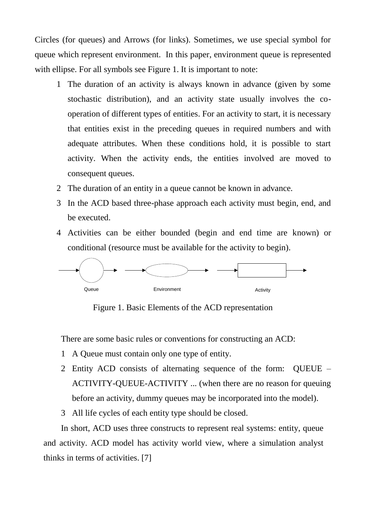Circles (for queues) and Arrows (for links). Sometimes, we use special symbol for queue which represent environment. In this paper, environment queue is represented with ellipse. For all symbols see Figure 1. It is important to note:

- 1 The duration of an activity is always known in advance (given by some stochastic distribution), and an activity state usually involves the cooperation of different types of entities. For an activity to start, it is necessary that entities exist in the preceding queues in required numbers and with adequate attributes. When these conditions hold, it is possible to start activity. When the activity ends, the entities involved are moved to consequent queues.
- 2 The duration of an entity in a queue cannot be known in advance.
- 3 In the ACD based three-phase approach each activity must begin, end, and be executed.
- 4 Activities can be either bounded (begin and end time are known) or conditional (resource must be available for the activity to begin).



Figure 1. Basic Elements of the ACD representation

There are some basic rules or conventions for constructing an ACD:

- 1 A Queue must contain only one type of entity.
- 2 Entity ACD consists of alternating sequence of the form: QUEUE ACTIVITY-QUEUE-ACTIVITY ... (when there are no reason for queuing before an activity, dummy queues may be incorporated into the model).
- 3 All life cycles of each entity type should be closed.

In short, ACD uses three constructs to represent real systems: entity, queue and activity. ACD model has activity world view, where a simulation analyst thinks in terms of activities. [7]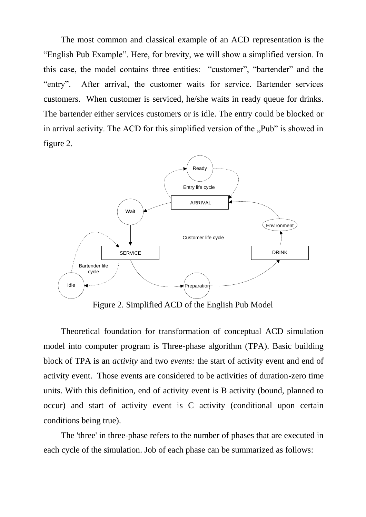The most common and classical example of an ACD representation is the "English Pub Example". Here, for brevity, we will show a simplified version. In this case, the model contains three entities: "customer", "bartender" and the "entry". After arrival, the customer waits for service. Bartender services customers. When customer is serviced, he/she waits in ready queue for drinks. The bartender either services customers or is idle. The entry could be blocked or in arrival activity. The ACD for this simplified version of the "Pub" is showed in figure 2.



Figure 2. Simplified ACD of the English Pub Model

Theoretical foundation for transformation of conceptual ACD simulation model into computer program is Three-phase algorithm (TPA). Basic building block of TPA is an *activity* and two *events:* the start of activity event and end of activity event. Those events are considered to be activities of duration-zero time units. With this definition, end of activity event is B activity (bound, planned to occur) and start of activity event is C activity (conditional upon certain conditions being true).

The 'three' in three-phase refers to the number of phases that are executed in each cycle of the simulation. Job of each phase can be summarized as follows: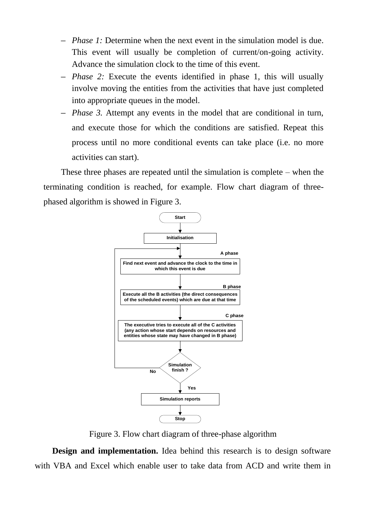- *Phase 1:* Determine when the next event in the simulation model is due. This event will usually be completion of current/on-going activity. Advance the simulation clock to the time of this event.
- *Phase 2:* Execute the events identified in phase 1, this will usually involve moving the entities from the activities that have just completed into appropriate queues in the model.
- *Phase 3.* Attempt any events in the model that are conditional in turn, and execute those for which the conditions are satisfied. Repeat this process until no more conditional events can take place (i.e. no more activities can start).

These three phases are repeated until the simulation is complete – when the terminating condition is reached, for example. Flow chart diagram of threephased algorithm is showed in Figure 3.



Figure 3. Flow chart diagram of three-phase algorithm

**Design and implementation.** Idea behind this research is to design software with VBA and Excel which enable user to take data from ACD and write them in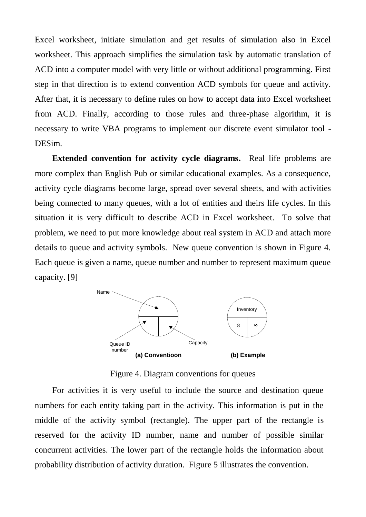Excel worksheet, initiate simulation and get results of simulation also in Excel worksheet. This approach simplifies the simulation task by automatic translation of ACD into a computer model with very little or without additional programming. First step in that direction is to extend convention ACD symbols for queue and activity. After that, it is necessary to define rules on how to accept data into Excel worksheet from ACD. Finally, according to those rules and three-phase algorithm, it is necessary to write VBA programs to implement our discrete event simulator tool - DESim.

**Extended convention for activity cycle diagrams.** Real life problems are more complex than English Pub or similar educational examples. As a consequence, activity cycle diagrams become large, spread over several sheets, and with activities being connected to many queues, with a lot of entities and theirs life cycles. In this situation it is very difficult to describe ACD in Excel worksheet. To solve that problem, we need to put more knowledge about real system in ACD and attach more details to queue and activity symbols. New queue convention is shown in Figure 4. Each queue is given a name, queue number and number to represent maximum queue capacity. [9]



Figure 4. Diagram conventions for queues

For activities it is very useful to include the source and destination queue numbers for each entity taking part in the activity. This information is put in the middle of the activity symbol (rectangle). The upper part of the rectangle is reserved for the activity ID number, name and number of possible similar concurrent activities. The lower part of the rectangle holds the information about probability distribution of activity duration. Figure 5 illustrates the convention.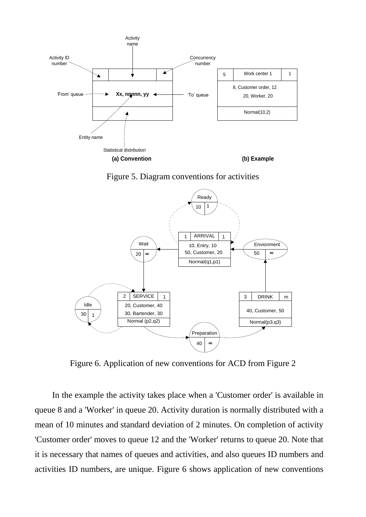

Figure 5. Diagram conventions for activities



Figure 6. Application of new conventions for ACD from Figure 2

In the example the activity takes place when a 'Customer order' is available in queue 8 and a 'Worker' in queue 20. Activity duration is normally distributed with a mean of 10 minutes and standard deviation of 2 minutes. On completion of activity 'Customer order' moves to queue 12 and the 'Worker' returns to queue 20. Note that it is necessary that names of queues and activities, and also queues ID numbers and activities ID numbers, are unique. Figure 6 shows application of new conventions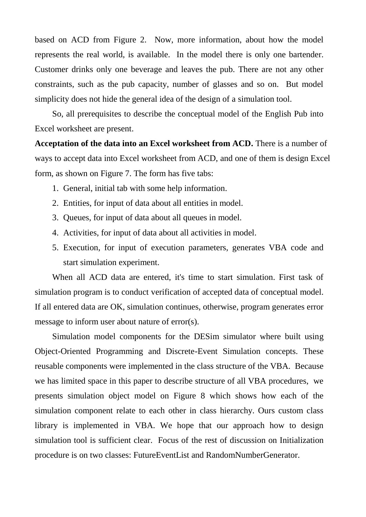based on ACD from Figure 2. Now, more information, about how the model represents the real world, is available. In the model there is only one bartender. Customer drinks only one beverage and leaves the pub. There are not any other constraints, such as the pub capacity, number of glasses and so on. But model simplicity does not hide the general idea of the design of a simulation tool.

So, all prerequisites to describe the conceptual model of the English Pub into Excel worksheet are present.

**Acceptation of the data into an Excel worksheet from ACD.** There is a number of ways to accept data into Excel worksheet from ACD, and one of them is design Excel form, as shown on Figure 7. The form has five tabs:

- 1. General, initial tab with some help information.
- 2. Entities, for input of data about all entities in model.
- 3. Queues, for input of data about all queues in model.
- 4. Activities, for input of data about all activities in model.
- 5. Execution, for input of execution parameters, generates VBA code and start simulation experiment.

When all ACD data are entered, it's time to start simulation. First task of simulation program is to conduct verification of accepted data of conceptual model. If all entered data are OK, simulation continues, otherwise, program generates error message to inform user about nature of error(s).

Simulation model components for the DESim simulator where built using Object-Oriented Programming and Discrete-Event Simulation concepts. These reusable components were implemented in the class structure of the VBA. Because we has limited space in this paper to describe structure of all VBA procedures, we presents simulation object model on Figure 8 which shows how each of the simulation component relate to each other in class hierarchy. Ours custom class library is implemented in VBA. We hope that our approach how to design simulation tool is sufficient clear. Focus of the rest of discussion on Initialization procedure is on two classes: FutureEventList and RandomNumberGenerator.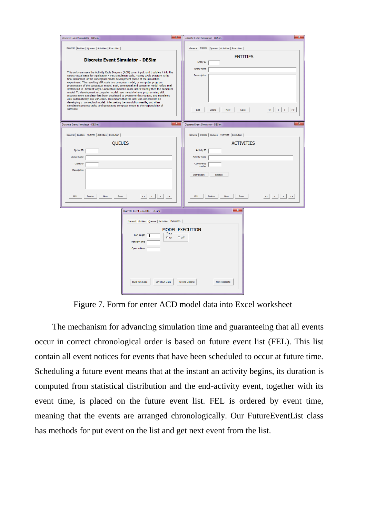| $\mathbf{x}$<br>Discrete Event Simulator - DESim                                                                                                                                                                                                                                                                                                                                                                                                                                                                                                                                                                                                                                                                                                                                                                                                                                                                                                                                                                                                                                        | $\mathbf{x}$<br>Discrete Event Simulator - DESim                                                                                                                                                                                                        |
|-----------------------------------------------------------------------------------------------------------------------------------------------------------------------------------------------------------------------------------------------------------------------------------------------------------------------------------------------------------------------------------------------------------------------------------------------------------------------------------------------------------------------------------------------------------------------------------------------------------------------------------------------------------------------------------------------------------------------------------------------------------------------------------------------------------------------------------------------------------------------------------------------------------------------------------------------------------------------------------------------------------------------------------------------------------------------------------------|---------------------------------------------------------------------------------------------------------------------------------------------------------------------------------------------------------------------------------------------------------|
| General Entities   Queues   Activities   Execution  <br><b>Discrete Event Simulator - DESim</b><br>This software uses the Actiivity Cycle Diagram (ACD) as an input, and traslates it into the<br>corect Visual Basic for Application - VBA simulation code. Activity Cycle Diagram is the<br>final document of the conceptual model development phase of the simulation<br>experiment. The resulting VBA code is a computer model, or computer program<br>presentation of the conceptual model. Both, conceptual and computer model reflect real<br>system but in diferent ways. Conceptual model is more users friendly then the computer<br>model. To development a computer model, user neads to have programming skill.<br>Discrete Event Simulator has been developed to overcome this request, and translates<br>ACD automatically into VBA code. This means that the user can concentrate on<br>developing a conceptual model, interpreting the simulation results, and other<br>simulations project tasks, and generating computer model is the responsibility of<br>software. | General Entities Queues   Activities   Execution  <br><b>ENTITIES</b><br>Entity ID<br>Entity name<br>Deescription<br>Edit<br>Delete<br>New<br>Save                                                                                                      |
| $\mathbf{x}$                                                                                                                                                                                                                                                                                                                                                                                                                                                                                                                                                                                                                                                                                                                                                                                                                                                                                                                                                                                                                                                                            | $\mathbf{x}$                                                                                                                                                                                                                                            |
| Discrete Event Simulator - DESim<br>General   Entities   Queues   Activities   Execution  <br><b>OUEUES</b><br>Queue ID<br>Queue name<br>Capacity<br>Description<br>$\left\  \left\langle \cdot \right  \right\ $ $\left\  \cdot \right\ $ $\rightarrow$<br>Delete<br>Edit<br>New<br>Save                                                                                                                                                                                                                                                                                                                                                                                                                                                                                                                                                                                                                                                                                                                                                                                               | Discrete Event Simulator - DESim<br>General   Entities   Queues Activities   Execution  <br><b>ACTIVITIES</b><br><b>Activity ID</b><br><b>Activity name</b><br>Concurency<br>number<br>Distribution<br><b>Entities</b><br>Edit<br>Delete<br>New<br>Save |
| $\mathbf{x}$<br>Discrete Event Simulator - DESim<br>General   Entities   Queues   Activities Execution  <br><b>MODEL EXECUTION</b><br>Trace<br>Run length<br>$\subset$ On<br>$\circ$ off<br><b>Transient time</b><br>Onservations<br><b>Build VBA Code</b><br>Save Run Data<br><b>Viewing Options</b><br><b>New Replicate</b>                                                                                                                                                                                                                                                                                                                                                                                                                                                                                                                                                                                                                                                                                                                                                           |                                                                                                                                                                                                                                                         |

Figure 7. Form for enter ACD model data into Excel worksheet

The mechanism for advancing simulation time and guaranteeing that all events occur in correct chronological order is based on future event list (FEL). This list contain all event notices for events that have been scheduled to occur at future time. Scheduling a future event means that at the instant an activity begins, its duration is computed from statistical distribution and the end-activity event, together with its event time, is placed on the future event list. FEL is ordered by event time, meaning that the events are arranged chronologically. Our FutureEventList class has methods for put event on the list and get next event from the list.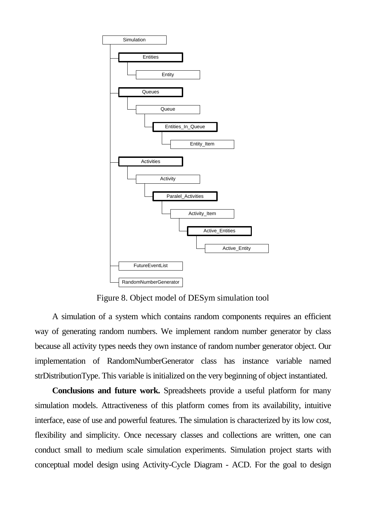

Figure 8. Object model of DESym simulation tool

A simulation of a system which contains random components requires an efficient way of generating random numbers. We implement random number generator by class because all activity types needs they own instance of random number generator object. Our implementation of RandomNumberGenerator class has instance variable named strDistributionType. This variable is initialized on the very beginning of object instantiated.

**Conclusions and future work.** Spreadsheets provide a useful platform for many simulation models. Attractiveness of this platform comes from its availability, intuitive interface, ease of use and powerful features. The simulation is characterized by its low cost, flexibility and simplicity. Once necessary classes and collections are written, one can conduct small to medium scale simulation experiments. Simulation project starts with conceptual model design using Activity-Cycle Diagram - ACD. For the goal to design